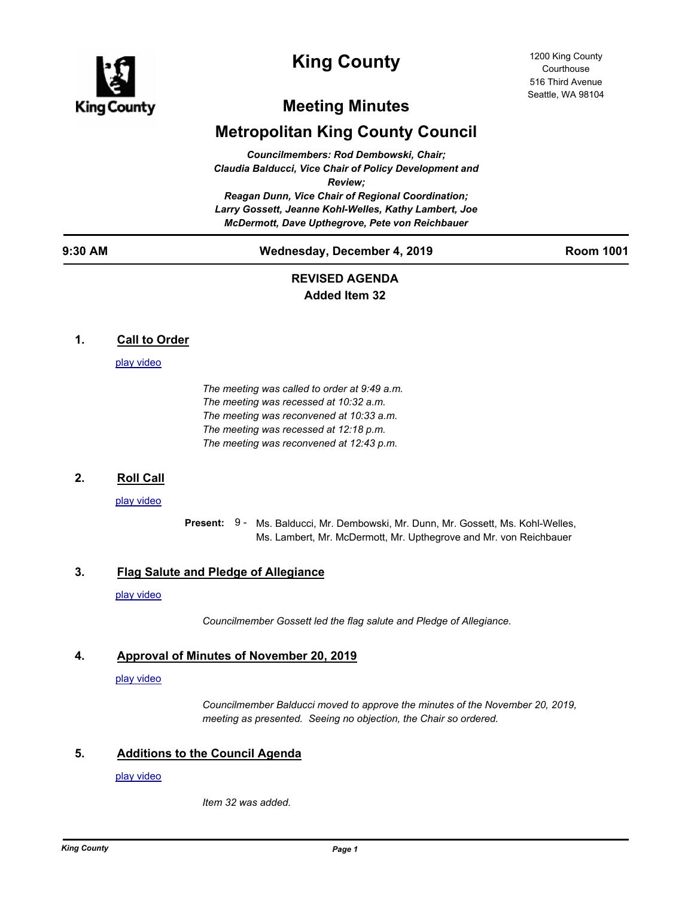

# **King County**

# **Meeting Minutes**

# **Metropolitan King County Council**

*Councilmembers: Rod Dembowski, Chair; Claudia Balducci, Vice Chair of Policy Development and Review; Reagan Dunn, Vice Chair of Regional Coordination; Larry Gossett, Jeanne Kohl-Welles, Kathy Lambert, Joe McDermott, Dave Upthegrove, Pete von Reichbauer*

# **9:30 AM Wednesday, December 4, 2019 Room 1001**

# **REVISED AGENDA Added Item 32**

# **1. Call to Order**

#### [play video](http://mkcclegisearch.kingcounty.gov/medialinkgenerator/index.aspx?meid=7823&hsid=501811)

*The meeting was called to order at 9:49 a.m. The meeting was recessed at 10:32 a.m. The meeting was reconvened at 10:33 a.m. The meeting was recessed at 12:18 p.m. The meeting was reconvened at 12:43 p.m.*

# **2. Roll Call**

#### [play video](http://mkcclegisearch.kingcounty.gov/medialinkgenerator/index.aspx?meid=7823&hsid=501812)

Present: 9 - Ms. Balducci, Mr. Dembowski, Mr. Dunn, Mr. Gossett, Ms. Kohl-Welles, Ms. Lambert, Mr. McDermott, Mr. Upthegrove and Mr. von Reichbauer

# **3. Flag Salute and Pledge of Allegiance**

#### [play video](http://mkcclegisearch.kingcounty.gov/medialinkgenerator/index.aspx?meid=7823&hsid=501813)

*Councilmember Gossett led the flag salute and Pledge of Allegiance.*

# **4. Approval of Minutes of November 20, 2019**

#### [play video](http://mkcclegisearch.kingcounty.gov/medialinkgenerator/index.aspx?meid=7823&hsid=501814)

*Councilmember Balducci moved to approve the minutes of the November 20, 2019, meeting as presented. Seeing no objection, the Chair so ordered.*

# **5. Additions to the Council Agenda**

#### [play video](http://mkcclegisearch.kingcounty.gov/medialinkgenerator/index.aspx?meid=7823&hsid=501815)

*Item 32 was added.*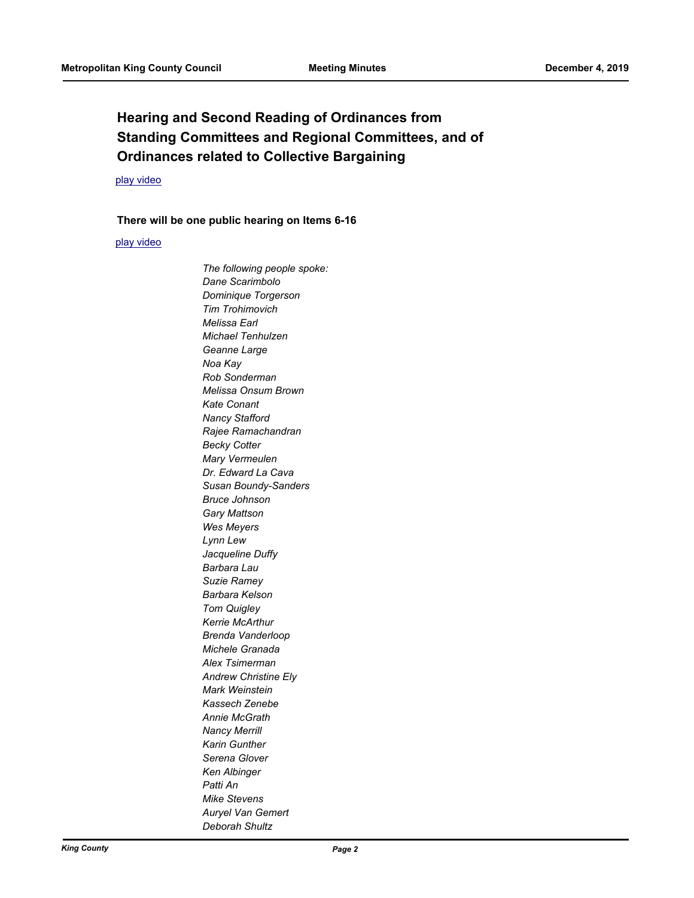# **Hearing and Second Reading of Ordinances from Standing Committees and Regional Committees, and of Ordinances related to Collective Bargaining**

# [play video](http://mkcclegisearch.kingcounty.gov/medialinkgenerator/index.aspx?meid=7823&hsid=501818)

#### **There will be one public hearing on Items 6-16**

#### [play video](http://mkcclegisearch.kingcounty.gov/medialinkgenerator/index.aspx?meid=7823&hsid=501819)

*The following people spoke: Dane Scarimbolo Dominique Torgerson Tim Trohimovich Melissa Earl Michael Tenhulzen Geanne Large Noa Kay Rob Sonderman Melissa Onsum Brown Kate Conant Nancy Stafford Rajee Ramachandran Becky Cotter Mary Vermeulen Dr. Edward La Cava Susan Boundy-Sanders Bruce Johnson Gary Mattson Wes Meyers Lynn Lew Jacqueline Duffy Barbara Lau Suzie Ramey Barbara Kelson Tom Quigley Kerrie McArthur Brenda Vanderloop Michele Granada Alex Tsimerman Andrew Christine Ely Mark Weinstein Kassech Zenebe Annie McGrath Nancy Merrill Karin Gunther Serena Glover Ken Albinger Patti An Mike Stevens Auryel Van Gemert Deborah Shultz*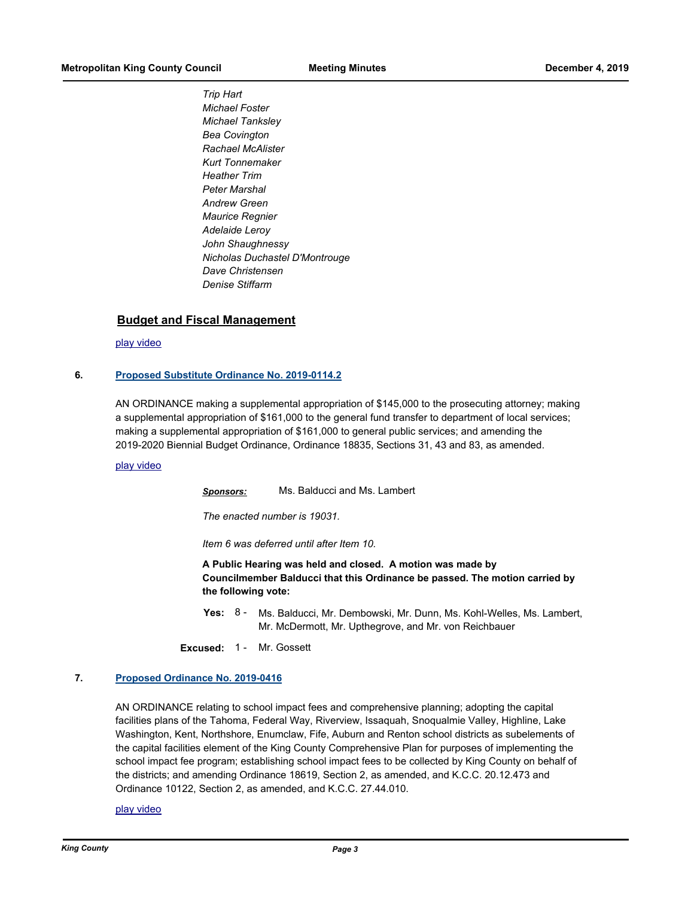*Trip Hart Michael Foster Michael Tanksley Bea Covington Rachael McAlister Kurt Tonnemaker Heather Trim Peter Marshal Andrew Green Maurice Regnier Adelaide Leroy John Shaughnessy Nicholas Duchastel D'Montrouge Dave Christensen Denise Stiffarm*

### **Budget and Fiscal Management**

[play video](http://mkcclegisearch.kingcounty.gov/medialinkgenerator/index.aspx?meid=7823&hsid=501823)

#### **6. [Proposed Substitute Ordinance No. 2019-0114.2](http://kingcounty.legistar.com/gateway.aspx?m=l&id=/matter.aspx?key=20060)**

AN ORDINANCE making a supplemental appropriation of \$145,000 to the prosecuting attorney; making a supplemental appropriation of \$161,000 to the general fund transfer to department of local services; making a supplemental appropriation of \$161,000 to general public services; and amending the 2019-2020 Biennial Budget Ordinance, Ordinance 18835, Sections 31, 43 and 83, as amended.

#### [play video](http://mkcclegisearch.kingcounty.gov/medialinkgenerator/index.aspx?meid=7823&hsid=501824)

*Sponsors:* Ms. Balducci and Ms. Lambert

*The enacted number is 19031.*

*Item 6 was deferred until after Item 10.*

**A Public Hearing was held and closed. A motion was made by Councilmember Balducci that this Ordinance be passed. The motion carried by the following vote:**

Yes: 8 - Ms. Balducci, Mr. Dembowski, Mr. Dunn, Ms. Kohl-Welles, Ms. Lambert, Mr. McDermott, Mr. Upthegrove, and Mr. von Reichbauer

**Excused:** 1 - Mr. Gossett

#### **7. [Proposed Ordinance No. 2019-0416](http://kingcounty.legistar.com/gateway.aspx?m=l&id=/matter.aspx?key=20672)**

AN ORDINANCE relating to school impact fees and comprehensive planning; adopting the capital facilities plans of the Tahoma, Federal Way, Riverview, Issaquah, Snoqualmie Valley, Highline, Lake Washington, Kent, Northshore, Enumclaw, Fife, Auburn and Renton school districts as subelements of the capital facilities element of the King County Comprehensive Plan for purposes of implementing the school impact fee program; establishing school impact fees to be collected by King County on behalf of the districts; and amending Ordinance 18619, Section 2, as amended, and K.C.C. 20.12.473 and Ordinance 10122, Section 2, as amended, and K.C.C. 27.44.010.

[play video](http://mkcclegisearch.kingcounty.gov/medialinkgenerator/index.aspx?meid=7823&hsid=501839)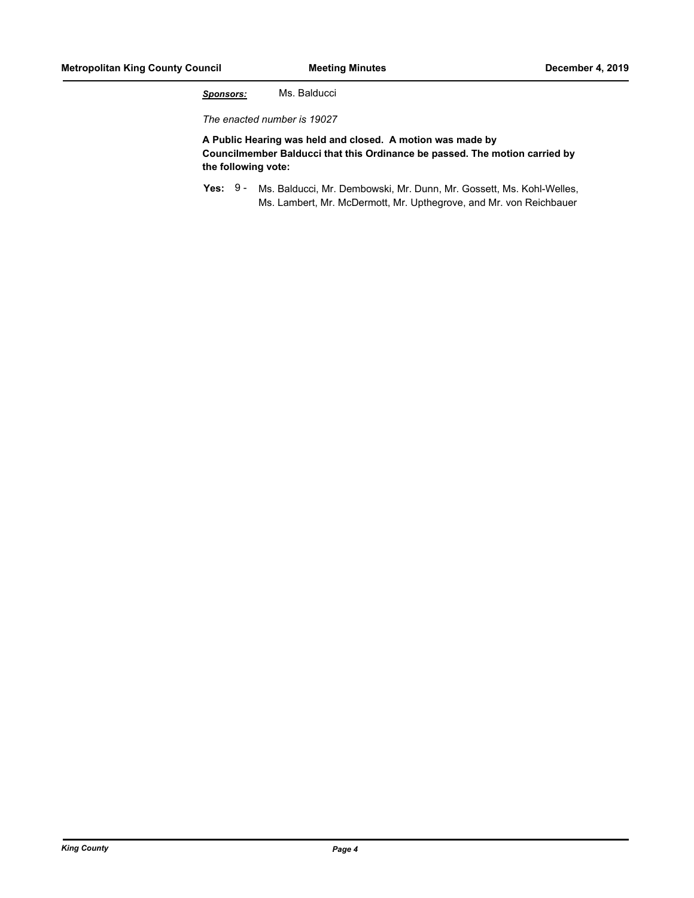*Sponsors:* Ms. Balducci

*The enacted number is 19027*

**A Public Hearing was held and closed. A motion was made by Councilmember Balducci that this Ordinance be passed. The motion carried by the following vote:**

Yes: 9 - Ms. Balducci, Mr. Dembowski, Mr. Dunn, Mr. Gossett, Ms. Kohl-Welles, Ms. Lambert, Mr. McDermott, Mr. Upthegrove, and Mr. von Reichbauer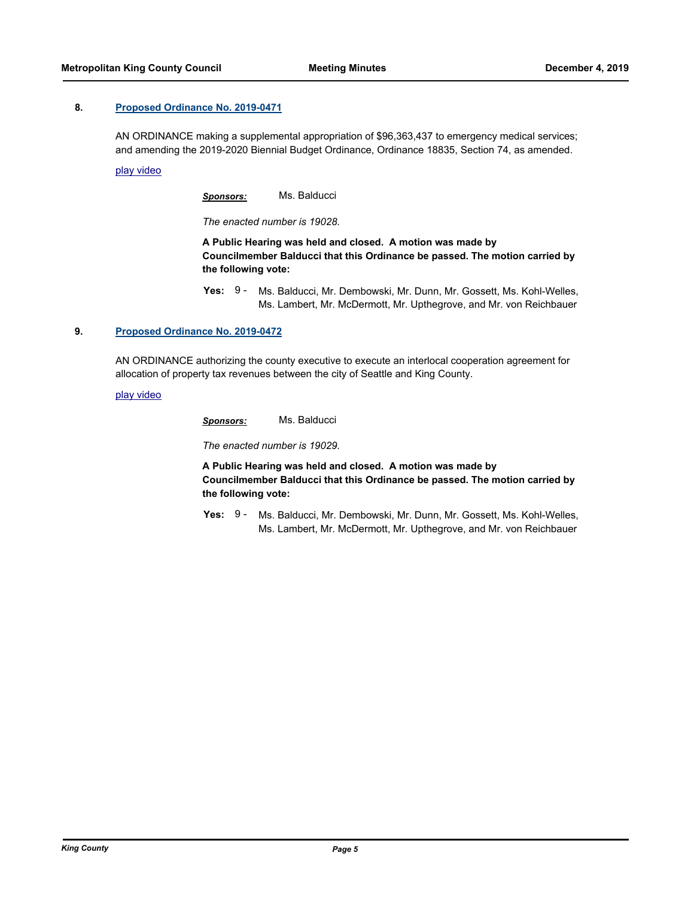#### **8. [Proposed Ordinance No. 2019-0471](http://kingcounty.legistar.com/gateway.aspx?m=l&id=/matter.aspx?key=20769)**

AN ORDINANCE making a supplemental appropriation of \$96,363,437 to emergency medical services; and amending the 2019-2020 Biennial Budget Ordinance, Ordinance 18835, Section 74, as amended.

[play video](http://mkcclegisearch.kingcounty.gov/medialinkgenerator/index.aspx?meid=7823&hsid=501867)

*Sponsors:* Ms. Balducci

*The enacted number is 19028.*

**A Public Hearing was held and closed. A motion was made by Councilmember Balducci that this Ordinance be passed. The motion carried by the following vote:**

**Yes:** Ms. Balducci, Mr. Dembowski, Mr. Dunn, Mr. Gossett, Ms. Kohl-Welles, Ms. Lambert, Mr. McDermott, Mr. Upthegrove, and Mr. von Reichbauer Yes:  $9 -$ 

#### **9. [Proposed Ordinance No. 2019-0472](http://kingcounty.legistar.com/gateway.aspx?m=l&id=/matter.aspx?key=20770)**

AN ORDINANCE authorizing the county executive to execute an interlocal cooperation agreement for allocation of property tax revenues between the city of Seattle and King County.

[play video](http://mkcclegisearch.kingcounty.gov/medialinkgenerator/index.aspx?meid=7823&hsid=501877)

*Sponsors:* Ms. Balducci

*The enacted number is 19029.*

**A Public Hearing was held and closed. A motion was made by Councilmember Balducci that this Ordinance be passed. The motion carried by the following vote:**

Yes: 9 - Ms. Balducci, Mr. Dembowski, Mr. Dunn, Mr. Gossett, Ms. Kohl-Welles, Ms. Lambert, Mr. McDermott, Mr. Upthegrove, and Mr. von Reichbauer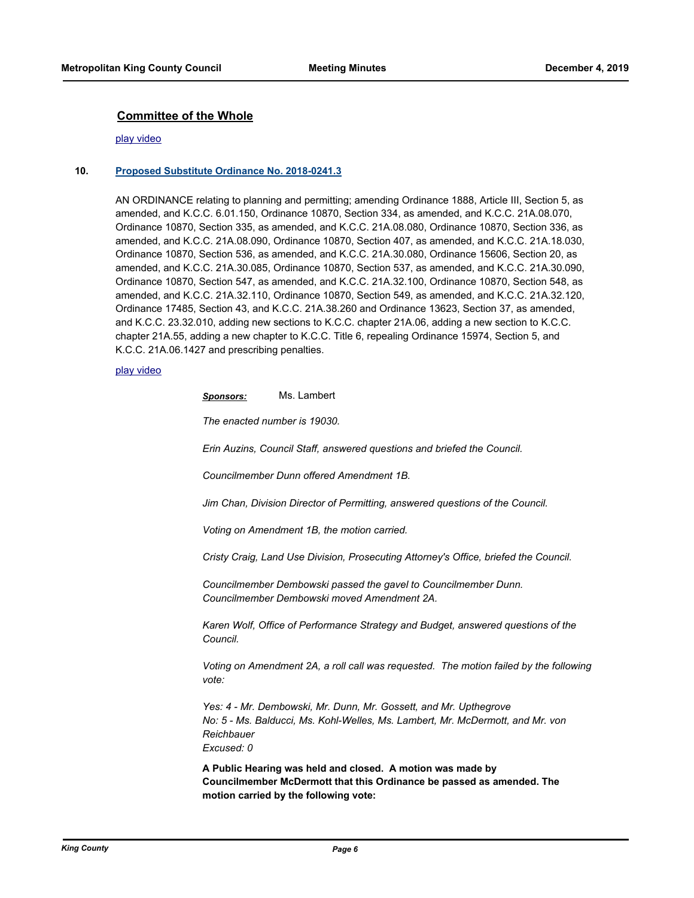### **Committee of the Whole**

#### [play video](http://mkcclegisearch.kingcounty.gov/medialinkgenerator/index.aspx?meid=7823&hsid=501886)

#### **10. [Proposed Substitute Ordinance No. 2018-0241.3](http://kingcounty.legistar.com/gateway.aspx?m=l&id=/matter.aspx?key=19248)**

AN ORDINANCE relating to planning and permitting; amending Ordinance 1888, Article III, Section 5, as amended, and K.C.C. 6.01.150, Ordinance 10870, Section 334, as amended, and K.C.C. 21A.08.070, Ordinance 10870, Section 335, as amended, and K.C.C. 21A.08.080, Ordinance 10870, Section 336, as amended, and K.C.C. 21A.08.090, Ordinance 10870, Section 407, as amended, and K.C.C. 21A.18.030, Ordinance 10870, Section 536, as amended, and K.C.C. 21A.30.080, Ordinance 15606, Section 20, as amended, and K.C.C. 21A.30.085, Ordinance 10870, Section 537, as amended, and K.C.C. 21A.30.090, Ordinance 10870, Section 547, as amended, and K.C.C. 21A.32.100, Ordinance 10870, Section 548, as amended, and K.C.C. 21A.32.110, Ordinance 10870, Section 549, as amended, and K.C.C. 21A.32.120, Ordinance 17485, Section 43, and K.C.C. 21A.38.260 and Ordinance 13623, Section 37, as amended, and K.C.C. 23.32.010, adding new sections to K.C.C. chapter 21A.06, adding a new section to K.C.C. chapter 21A.55, adding a new chapter to K.C.C. Title 6, repealing Ordinance 15974, Section 5, and K.C.C. 21A.06.1427 and prescribing penalties.

#### [play video](http://mkcclegisearch.kingcounty.gov/medialinkgenerator/index.aspx?meid=7823&hsid=501887)

*Sponsors:* Ms. Lambert

*The enacted number is 19030.*

*Erin Auzins, Council Staff, answered questions and briefed the Council.*

*Councilmember Dunn offered Amendment 1B.*

*Jim Chan, Division Director of Permitting, answered questions of the Council.*

*Voting on Amendment 1B, the motion carried.*

*Cristy Craig, Land Use Division, Prosecuting Attorney's Office, briefed the Council.*

*Councilmember Dembowski passed the gavel to Councilmember Dunn. Councilmember Dembowski moved Amendment 2A.*

*Karen Wolf, Office of Performance Strategy and Budget, answered questions of the Council.*

*Voting on Amendment 2A, a roll call was requested. The motion failed by the following vote:*

*Yes: 4 - Mr. Dembowski, Mr. Dunn, Mr. Gossett, and Mr. Upthegrove No: 5 - Ms. Balducci, Ms. Kohl-Welles, Ms. Lambert, Mr. McDermott, and Mr. von Reichbauer Excused: 0*

**A Public Hearing was held and closed. A motion was made by Councilmember McDermott that this Ordinance be passed as amended. The motion carried by the following vote:**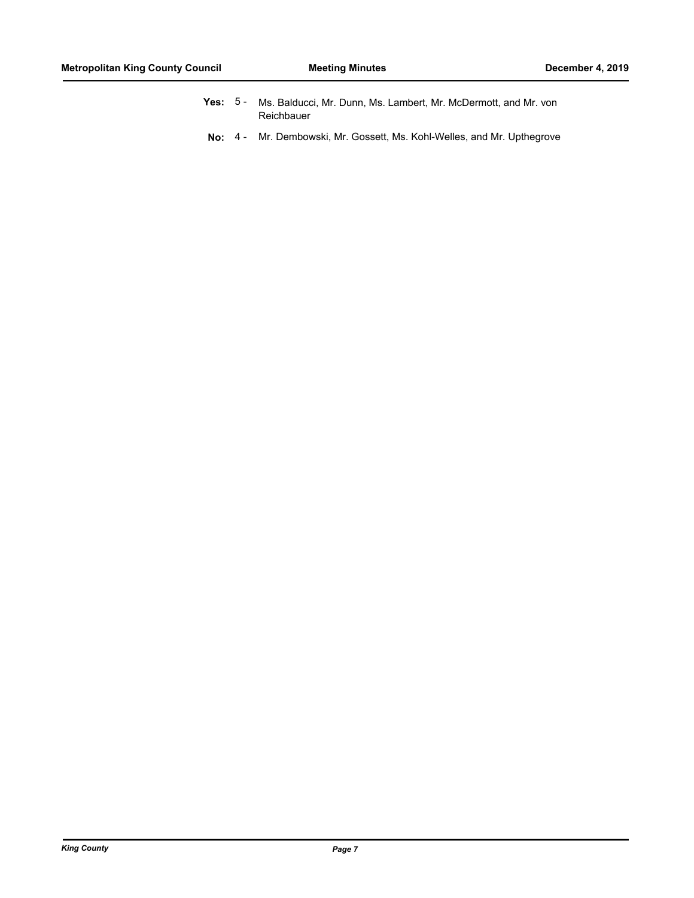- **Yes:** Ms. Balducci, Mr. Dunn, Ms. Lambert, Mr. McDermott, and Mr. von Reichbauer Yes:  $5 -$
- **No:** 4 Mr. Dembowski, Mr. Gossett, Ms. Kohl-Welles, and Mr. Upthegrove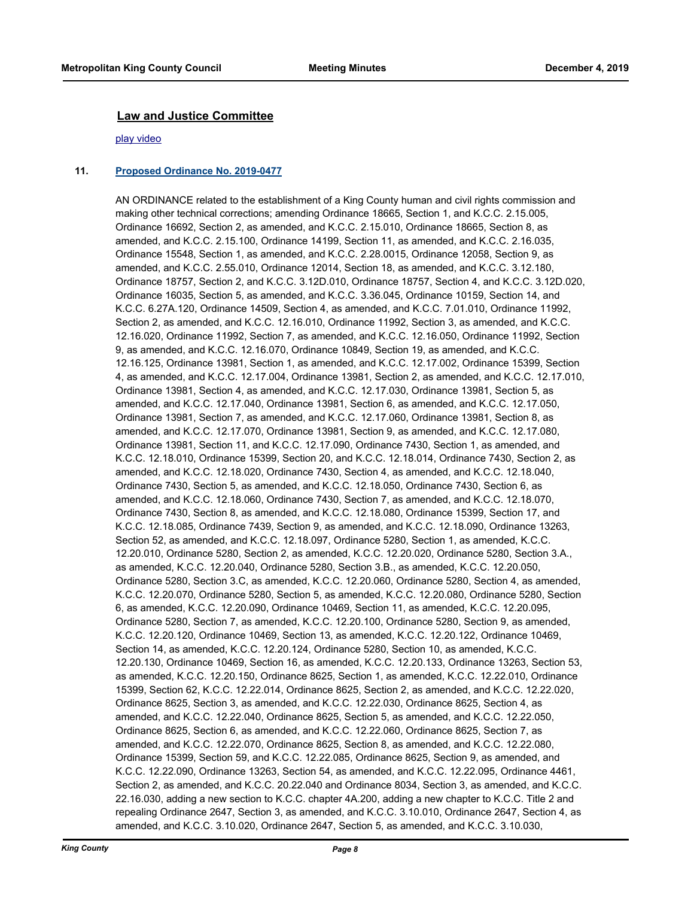#### **Law and Justice Committee**

#### [play video](http://mkcclegisearch.kingcounty.gov/medialinkgenerator/index.aspx?meid=7823&hsid=502001)

#### **11. [Proposed Ordinance No. 2019-0477](http://kingcounty.legistar.com/gateway.aspx?m=l&id=/matter.aspx?key=20775)**

AN ORDINANCE related to the establishment of a King County human and civil rights commission and making other technical corrections; amending Ordinance 18665, Section 1, and K.C.C. 2.15.005, Ordinance 16692, Section 2, as amended, and K.C.C. 2.15.010, Ordinance 18665, Section 8, as amended, and K.C.C. 2.15.100, Ordinance 14199, Section 11, as amended, and K.C.C. 2.16.035, Ordinance 15548, Section 1, as amended, and K.C.C. 2.28.0015, Ordinance 12058, Section 9, as amended, and K.C.C. 2.55.010, Ordinance 12014, Section 18, as amended, and K.C.C. 3.12.180, Ordinance 18757, Section 2, and K.C.C. 3.12D.010, Ordinance 18757, Section 4, and K.C.C. 3.12D.020, Ordinance 16035, Section 5, as amended, and K.C.C. 3.36.045, Ordinance 10159, Section 14, and K.C.C. 6.27A.120, Ordinance 14509, Section 4, as amended, and K.C.C. 7.01.010, Ordinance 11992, Section 2, as amended, and K.C.C. 12.16.010, Ordinance 11992, Section 3, as amended, and K.C.C. 12.16.020, Ordinance 11992, Section 7, as amended, and K.C.C. 12.16.050, Ordinance 11992, Section 9, as amended, and K.C.C. 12.16.070, Ordinance 10849, Section 19, as amended, and K.C.C. 12.16.125, Ordinance 13981, Section 1, as amended, and K.C.C. 12.17.002, Ordinance 15399, Section 4, as amended, and K.C.C. 12.17.004, Ordinance 13981, Section 2, as amended, and K.C.C. 12.17.010, Ordinance 13981, Section 4, as amended, and K.C.C. 12.17.030, Ordinance 13981, Section 5, as amended, and K.C.C. 12.17.040, Ordinance 13981, Section 6, as amended, and K.C.C. 12.17.050, Ordinance 13981, Section 7, as amended, and K.C.C. 12.17.060, Ordinance 13981, Section 8, as amended, and K.C.C. 12.17.070, Ordinance 13981, Section 9, as amended, and K.C.C. 12.17.080, Ordinance 13981, Section 11, and K.C.C. 12.17.090, Ordinance 7430, Section 1, as amended, and K.C.C. 12.18.010, Ordinance 15399, Section 20, and K.C.C. 12.18.014, Ordinance 7430, Section 2, as amended, and K.C.C. 12.18.020, Ordinance 7430, Section 4, as amended, and K.C.C. 12.18.040, Ordinance 7430, Section 5, as amended, and K.C.C. 12.18.050, Ordinance 7430, Section 6, as amended, and K.C.C. 12.18.060, Ordinance 7430, Section 7, as amended, and K.C.C. 12.18.070, Ordinance 7430, Section 8, as amended, and K.C.C. 12.18.080, Ordinance 15399, Section 17, and K.C.C. 12.18.085, Ordinance 7439, Section 9, as amended, and K.C.C. 12.18.090, Ordinance 13263, Section 52, as amended, and K.C.C. 12.18.097, Ordinance 5280, Section 1, as amended, K.C.C. 12.20.010, Ordinance 5280, Section 2, as amended, K.C.C. 12.20.020, Ordinance 5280, Section 3.A., as amended, K.C.C. 12.20.040, Ordinance 5280, Section 3.B., as amended, K.C.C. 12.20.050, Ordinance 5280, Section 3.C, as amended, K.C.C. 12.20.060, Ordinance 5280, Section 4, as amended, K.C.C. 12.20.070, Ordinance 5280, Section 5, as amended, K.C.C. 12.20.080, Ordinance 5280, Section 6, as amended, K.C.C. 12.20.090, Ordinance 10469, Section 11, as amended, K.C.C. 12.20.095, Ordinance 5280, Section 7, as amended, K.C.C. 12.20.100, Ordinance 5280, Section 9, as amended, K.C.C. 12.20.120, Ordinance 10469, Section 13, as amended, K.C.C. 12.20.122, Ordinance 10469, Section 14, as amended, K.C.C. 12.20.124, Ordinance 5280, Section 10, as amended, K.C.C. 12.20.130, Ordinance 10469, Section 16, as amended, K.C.C. 12.20.133, Ordinance 13263, Section 53, as amended, K.C.C. 12.20.150, Ordinance 8625, Section 1, as amended, K.C.C. 12.22.010, Ordinance 15399, Section 62, K.C.C. 12.22.014, Ordinance 8625, Section 2, as amended, and K.C.C. 12.22.020, Ordinance 8625, Section 3, as amended, and K.C.C. 12.22.030, Ordinance 8625, Section 4, as amended, and K.C.C. 12.22.040, Ordinance 8625, Section 5, as amended, and K.C.C. 12.22.050, Ordinance 8625, Section 6, as amended, and K.C.C. 12.22.060, Ordinance 8625, Section 7, as amended, and K.C.C. 12.22.070, Ordinance 8625, Section 8, as amended, and K.C.C. 12.22.080, Ordinance 15399, Section 59, and K.C.C. 12.22.085, Ordinance 8625, Section 9, as amended, and K.C.C. 12.22.090, Ordinance 13263, Section 54, as amended, and K.C.C. 12.22.095, Ordinance 4461, Section 2, as amended, and K.C.C. 20.22.040 and Ordinance 8034, Section 3, as amended, and K.C.C. 22.16.030, adding a new section to K.C.C. chapter 4A.200, adding a new chapter to K.C.C. Title 2 and repealing Ordinance 2647, Section 3, as amended, and K.C.C. 3.10.010, Ordinance 2647, Section 4, as amended, and K.C.C. 3.10.020, Ordinance 2647, Section 5, as amended, and K.C.C. 3.10.030,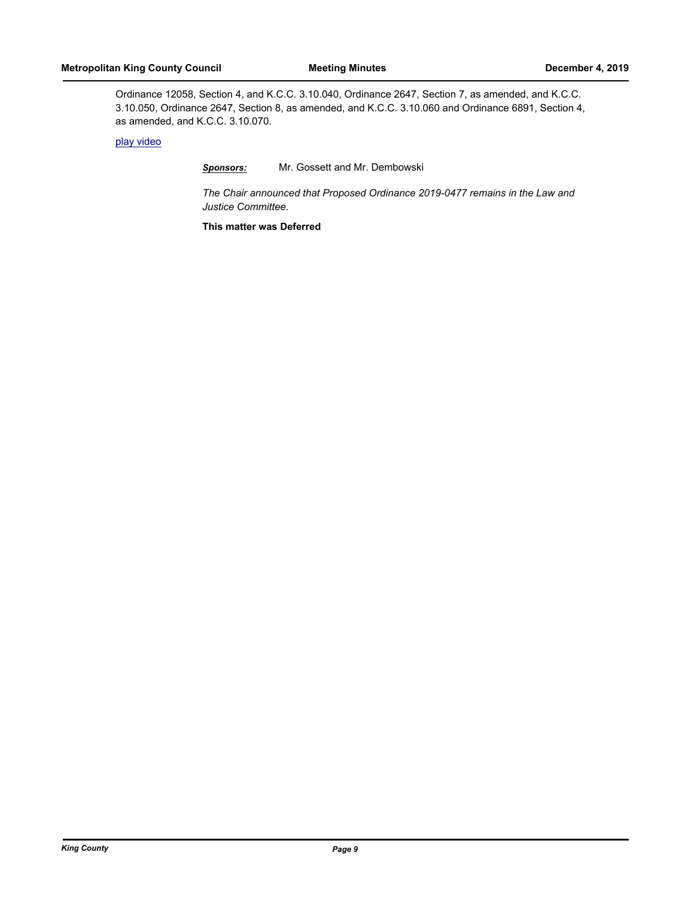Ordinance 12058, Section 4, and K.C.C. 3.10.040, Ordinance 2647, Section 7, as amended, and K.C.C. 3.10.050, Ordinance 2647, Section 8, as amended, and K.C.C. 3.10.060 and Ordinance 6891, Section 4, as amended, and K.C.C. 3.10.070.

### [play video](http://mkcclegisearch.kingcounty.gov/medialinkgenerator/index.aspx?meid=7823&hsid=502002)

### *Sponsors:* Mr. Gossett and Mr. Dembowski

*The Chair announced that Proposed Ordinance 2019-0477 remains in the Law and Justice Committee.*

**This matter was Deferred**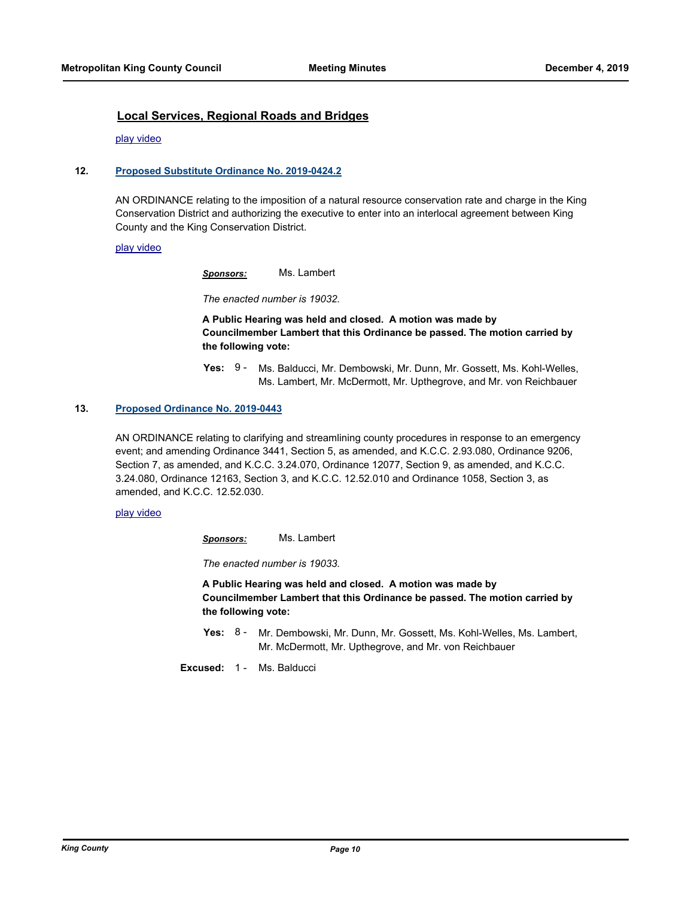### **Local Services, Regional Roads and Bridges**

[play video](http://mkcclegisearch.kingcounty.gov/medialinkgenerator/index.aspx?meid=7823&hsid=502004)

#### **12. [Proposed Substitute Ordinance No. 2019-0424.2](http://kingcounty.legistar.com/gateway.aspx?m=l&id=/matter.aspx?key=20688)**

AN ORDINANCE relating to the imposition of a natural resource conservation rate and charge in the King Conservation District and authorizing the executive to enter into an interlocal agreement between King County and the King Conservation District.

#### [play video](http://mkcclegisearch.kingcounty.gov/medialinkgenerator/index.aspx?meid=7823&hsid=502005)

*Sponsors:* Ms. Lambert

*The enacted number is 19032.*

**A Public Hearing was held and closed. A motion was made by Councilmember Lambert that this Ordinance be passed. The motion carried by the following vote:**

Yes: 9 - Ms. Balducci, Mr. Dembowski, Mr. Dunn, Mr. Gossett, Ms. Kohl-Welles, Ms. Lambert, Mr. McDermott, Mr. Upthegrove, and Mr. von Reichbauer

#### **13. [Proposed Ordinance No. 2019-0443](http://kingcounty.legistar.com/gateway.aspx?m=l&id=/matter.aspx?key=20709)**

AN ORDINANCE relating to clarifying and streamlining county procedures in response to an emergency event; and amending Ordinance 3441, Section 5, as amended, and K.C.C. 2.93.080, Ordinance 9206, Section 7, as amended, and K.C.C. 3.24.070, Ordinance 12077, Section 9, as amended, and K.C.C. 3.24.080, Ordinance 12163, Section 3, and K.C.C. 12.52.010 and Ordinance 1058, Section 3, as amended, and K.C.C. 12.52.030.

#### [play video](http://mkcclegisearch.kingcounty.gov/medialinkgenerator/index.aspx?meid=7823&hsid=502019)

*Sponsors:* Ms. Lambert

*The enacted number is 19033.*

**A Public Hearing was held and closed. A motion was made by Councilmember Lambert that this Ordinance be passed. The motion carried by the following vote:**

**Yes:** Mr. Dembowski, Mr. Dunn, Mr. Gossett, Ms. Kohl-Welles, Ms. Lambert, Mr. McDermott, Mr. Upthegrove, and Mr. von Reichbauer Yes:  $8 -$ 

**Excused:** 1 - Ms. Balducci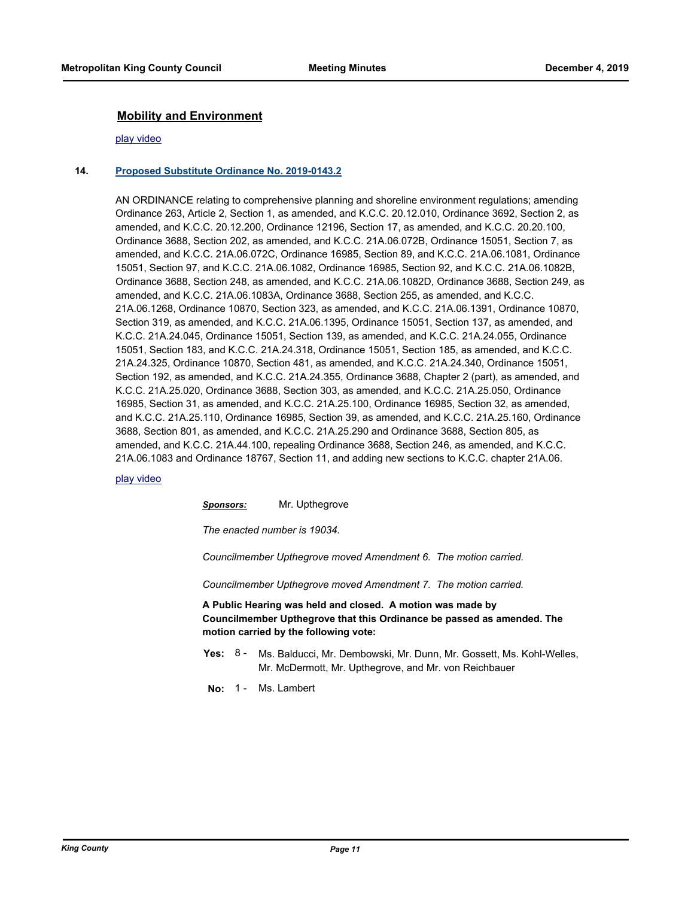### **Mobility and Environment**

#### [play video](http://mkcclegisearch.kingcounty.gov/medialinkgenerator/index.aspx?meid=7823&hsid=502030)

#### **14. [Proposed Substitute Ordinance No. 2019-0143.2](http://kingcounty.legistar.com/gateway.aspx?m=l&id=/matter.aspx?key=20134)**

AN ORDINANCE relating to comprehensive planning and shoreline environment regulations; amending Ordinance 263, Article 2, Section 1, as amended, and K.C.C. 20.12.010, Ordinance 3692, Section 2, as amended, and K.C.C. 20.12.200, Ordinance 12196, Section 17, as amended, and K.C.C. 20.20.100, Ordinance 3688, Section 202, as amended, and K.C.C. 21A.06.072B, Ordinance 15051, Section 7, as amended, and K.C.C. 21A.06.072C, Ordinance 16985, Section 89, and K.C.C. 21A.06.1081, Ordinance 15051, Section 97, and K.C.C. 21A.06.1082, Ordinance 16985, Section 92, and K.C.C. 21A.06.1082B, Ordinance 3688, Section 248, as amended, and K.C.C. 21A.06.1082D, Ordinance 3688, Section 249, as amended, and K.C.C. 21A.06.1083A, Ordinance 3688, Section 255, as amended, and K.C.C. 21A.06.1268, Ordinance 10870, Section 323, as amended, and K.C.C. 21A.06.1391, Ordinance 10870, Section 319, as amended, and K.C.C. 21A.06.1395, Ordinance 15051, Section 137, as amended, and K.C.C. 21A.24.045, Ordinance 15051, Section 139, as amended, and K.C.C. 21A.24.055, Ordinance 15051, Section 183, and K.C.C. 21A.24.318, Ordinance 15051, Section 185, as amended, and K.C.C. 21A.24.325, Ordinance 10870, Section 481, as amended, and K.C.C. 21A.24.340, Ordinance 15051, Section 192, as amended, and K.C.C. 21A.24.355, Ordinance 3688, Chapter 2 (part), as amended, and K.C.C. 21A.25.020, Ordinance 3688, Section 303, as amended, and K.C.C. 21A.25.050, Ordinance 16985, Section 31, as amended, and K.C.C. 21A.25.100, Ordinance 16985, Section 32, as amended, and K.C.C. 21A.25.110, Ordinance 16985, Section 39, as amended, and K.C.C. 21A.25.160, Ordinance 3688, Section 801, as amended, and K.C.C. 21A.25.290 and Ordinance 3688, Section 805, as amended, and K.C.C. 21A.44.100, repealing Ordinance 3688, Section 246, as amended, and K.C.C. 21A.06.1083 and Ordinance 18767, Section 11, and adding new sections to K.C.C. chapter 21A.06.

#### [play video](http://mkcclegisearch.kingcounty.gov/medialinkgenerator/index.aspx?meid=7823&hsid=502031)

*Sponsors:* Mr. Upthegrove

*The enacted number is 19034.*

*Councilmember Upthegrove moved Amendment 6. The motion carried.*

*Councilmember Upthegrove moved Amendment 7. The motion carried.*

**A Public Hearing was held and closed. A motion was made by Councilmember Upthegrove that this Ordinance be passed as amended. The motion carried by the following vote:**

- **Yes:** Ms. Balducci, Mr. Dembowski, Mr. Dunn, Mr. Gossett, Ms. Kohl-Welles, Mr. McDermott, Mr. Upthegrove, and Mr. von Reichbauer  $Yes: 8 -$
- **No:** 1 Ms. Lambert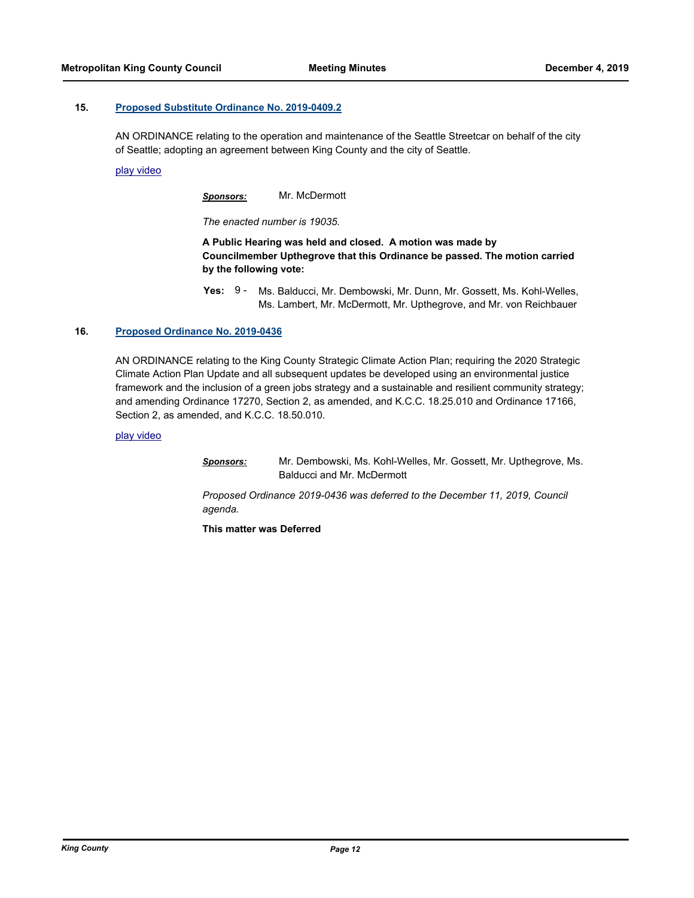#### **15. [Proposed Substitute Ordinance No. 2019-0409.2](http://kingcounty.legistar.com/gateway.aspx?m=l&id=/matter.aspx?key=20655)**

AN ORDINANCE relating to the operation and maintenance of the Seattle Streetcar on behalf of the city of Seattle; adopting an agreement between King County and the city of Seattle.

[play video](http://mkcclegisearch.kingcounty.gov/medialinkgenerator/index.aspx?meid=7823&hsid=502064)

*Sponsors:* Mr. McDermott

*The enacted number is 19035.*

**A Public Hearing was held and closed. A motion was made by Councilmember Upthegrove that this Ordinance be passed. The motion carried by the following vote:**

**Yes:** Ms. Balducci, Mr. Dembowski, Mr. Dunn, Mr. Gossett, Ms. Kohl-Welles, Ms. Lambert, Mr. McDermott, Mr. Upthegrove, and Mr. von Reichbauer Yes:  $9 -$ 

#### **16. [Proposed Ordinance No. 2019-0436](http://kingcounty.legistar.com/gateway.aspx?m=l&id=/matter.aspx?key=20701)**

AN ORDINANCE relating to the King County Strategic Climate Action Plan; requiring the 2020 Strategic Climate Action Plan Update and all subsequent updates be developed using an environmental justice framework and the inclusion of a green jobs strategy and a sustainable and resilient community strategy; and amending Ordinance 17270, Section 2, as amended, and K.C.C. 18.25.010 and Ordinance 17166, Section 2, as amended, and K.C.C. 18.50.010.

[play video](http://mkcclegisearch.kingcounty.gov/medialinkgenerator/index.aspx?meid=7823&hsid=502078)

*Sponsors:* Mr. Dembowski, Ms. Kohl-Welles, Mr. Gossett, Mr. Upthegrove, Ms. Balducci and Mr. McDermott

*Proposed Ordinance 2019-0436 was deferred to the December 11, 2019, Council agenda.*

**This matter was Deferred**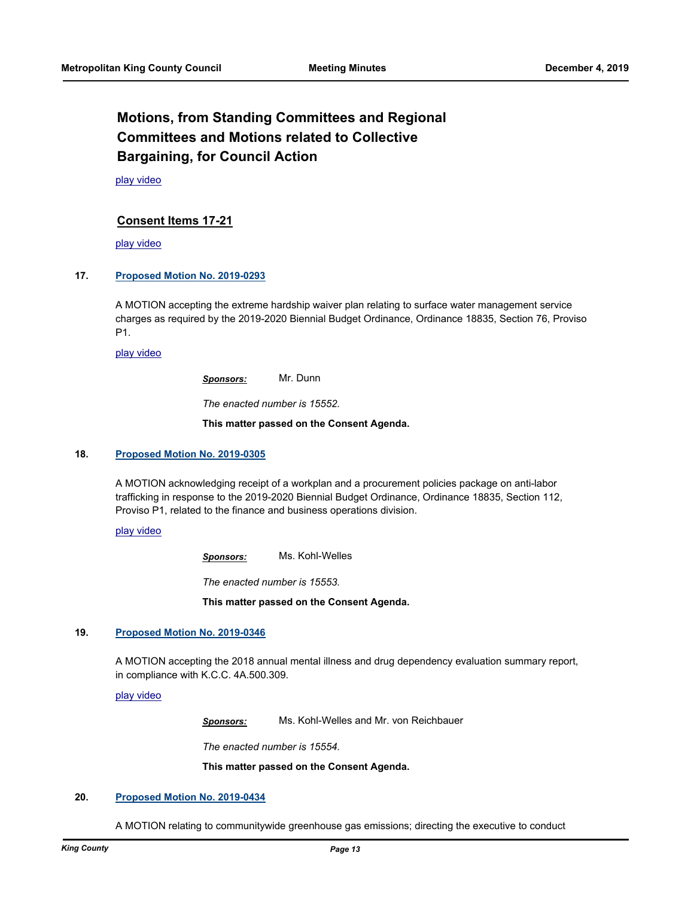# **Motions, from Standing Committees and Regional Committees and Motions related to Collective Bargaining, for Council Action**

[play video](http://mkcclegisearch.kingcounty.gov/medialinkgenerator/index.aspx?meid=7823&hsid=502082)

### **Consent Items 17-21**

[play video](http://mkcclegisearch.kingcounty.gov/medialinkgenerator/index.aspx?meid=7823&hsid=502083)

#### **17. [Proposed Motion No. 2019-0293](http://kingcounty.legistar.com/gateway.aspx?m=l&id=/matter.aspx?key=20438)**

A MOTION accepting the extreme hardship waiver plan relating to surface water management service charges as required by the 2019-2020 Biennial Budget Ordinance, Ordinance 18835, Section 76, Proviso P1.

[play video](http://mkcclegisearch.kingcounty.gov/medialinkgenerator/index.aspx?meid=7823&hsid=502084)

*Sponsors:* Mr. Dunn

*The enacted number is 15552.*

**This matter passed on the Consent Agenda.**

#### **18. [Proposed Motion No. 2019-0305](http://kingcounty.legistar.com/gateway.aspx?m=l&id=/matter.aspx?key=20460)**

A MOTION acknowledging receipt of a workplan and a procurement policies package on anti-labor trafficking in response to the 2019-2020 Biennial Budget Ordinance, Ordinance 18835, Section 112, Proviso P1, related to the finance and business operations division.

[play video](http://mkcclegisearch.kingcounty.gov/medialinkgenerator/index.aspx?meid=7823&hsid=502091)

*Sponsors:* Ms. Kohl-Welles

*The enacted number is 15553.*

**This matter passed on the Consent Agenda.**

#### **19. [Proposed Motion No. 2019-0346](http://kingcounty.legistar.com/gateway.aspx?m=l&id=/matter.aspx?key=20529)**

A MOTION accepting the 2018 annual mental illness and drug dependency evaluation summary report, in compliance with K.C.C. 4A.500.309.

[play video](http://mkcclegisearch.kingcounty.gov/medialinkgenerator/index.aspx?meid=7823&hsid=502097)

*Sponsors:* Ms. Kohl-Welles and Mr. von Reichbauer

*The enacted number is 15554.*

**This matter passed on the Consent Agenda.**

#### **20. [Proposed Motion No. 2019-0434](http://kingcounty.legistar.com/gateway.aspx?m=l&id=/matter.aspx?key=20699)**

A MOTION relating to communitywide greenhouse gas emissions; directing the executive to conduct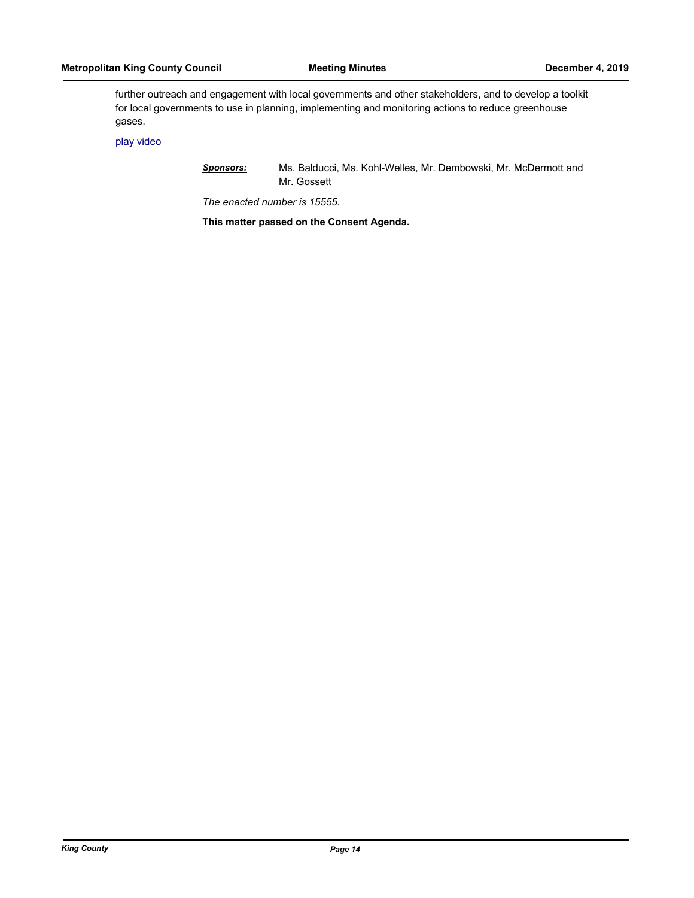further outreach and engagement with local governments and other stakeholders, and to develop a toolkit for local governments to use in planning, implementing and monitoring actions to reduce greenhouse gases.

[play video](http://mkcclegisearch.kingcounty.gov/medialinkgenerator/index.aspx?meid=7823&hsid=502106)

*Sponsors:* Ms. Balducci, Ms. Kohl-Welles, Mr. Dembowski, Mr. McDermott and Mr. Gossett

*The enacted number is 15555.*

**This matter passed on the Consent Agenda.**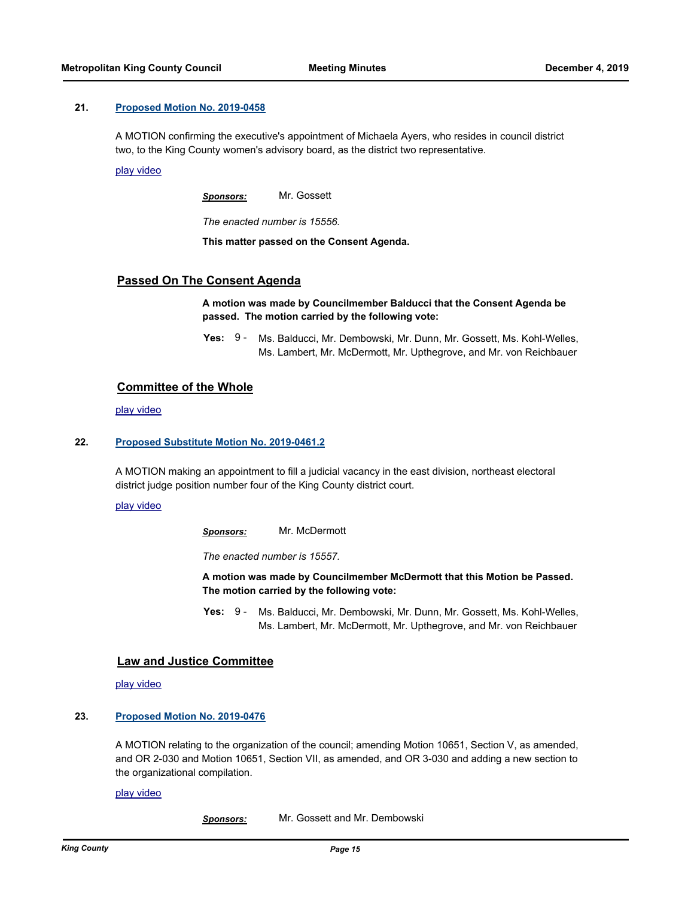#### **21. [Proposed Motion No. 2019-0458](http://kingcounty.legistar.com/gateway.aspx?m=l&id=/matter.aspx?key=20738)**

A MOTION confirming the executive's appointment of Michaela Ayers, who resides in council district two, to the King County women's advisory board, as the district two representative.

[play video](http://mkcclegisearch.kingcounty.gov/medialinkgenerator/index.aspx?meid=7823&hsid=502109)

*Sponsors:* Mr. Gossett

*The enacted number is 15556.*

**This matter passed on the Consent Agenda.**

### **Passed On The Consent Agenda**

**A motion was made by Councilmember Balducci that the Consent Agenda be passed. The motion carried by the following vote:**

**Yes:** Ms. Balducci, Mr. Dembowski, Mr. Dunn, Mr. Gossett, Ms. Kohl-Welles, Ms. Lambert, Mr. McDermott, Mr. Upthegrove, and Mr. von Reichbauer Yes:  $9 -$ 

#### **Committee of the Whole**

[play video](http://mkcclegisearch.kingcounty.gov/medialinkgenerator/index.aspx?meid=7823&hsid=502114)

#### **22. [Proposed Substitute Motion No. 2019-0461.2](http://kingcounty.legistar.com/gateway.aspx?m=l&id=/matter.aspx?key=20749)**

A MOTION making an appointment to fill a judicial vacancy in the east division, northeast electoral district judge position number four of the King County district court.

[play video](http://mkcclegisearch.kingcounty.gov/medialinkgenerator/index.aspx?meid=7823&hsid=502115)

*Sponsors:* Mr. McDermott

*The enacted number is 15557.*

**A motion was made by Councilmember McDermott that this Motion be Passed. The motion carried by the following vote:**

**Yes:** Ms. Balducci, Mr. Dembowski, Mr. Dunn, Mr. Gossett, Ms. Kohl-Welles, Ms. Lambert, Mr. McDermott, Mr. Upthegrove, and Mr. von Reichbauer Yes:  $9 -$ 

#### **Law and Justice Committee**

[play video](http://mkcclegisearch.kingcounty.gov/medialinkgenerator/index.aspx?meid=7823&hsid=502124)

#### **23. [Proposed Motion No. 2019-0476](http://kingcounty.legistar.com/gateway.aspx?m=l&id=/matter.aspx?key=20774)**

A MOTION relating to the organization of the council; amending Motion 10651, Section V, as amended, and OR 2-030 and Motion 10651, Section VII, as amended, and OR 3-030 and adding a new section to the organizational compilation.

[play video](http://mkcclegisearch.kingcounty.gov/medialinkgenerator/index.aspx?meid=7823&hsid=502125)

*Sponsors:* Mr. Gossett and Mr. Dembowski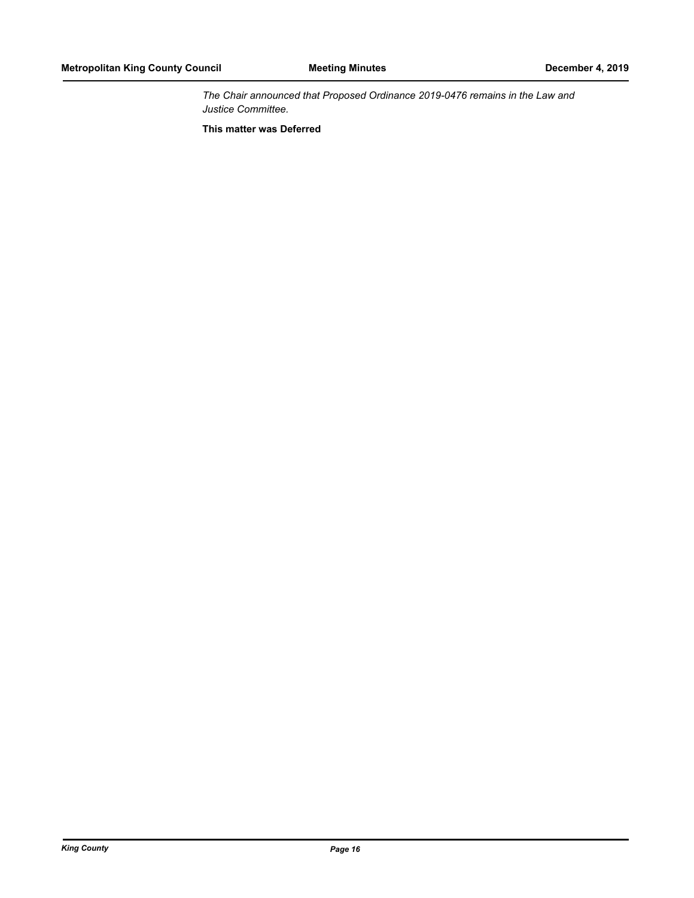*The Chair announced that Proposed Ordinance 2019-0476 remains in the Law and Justice Committee.*

**This matter was Deferred**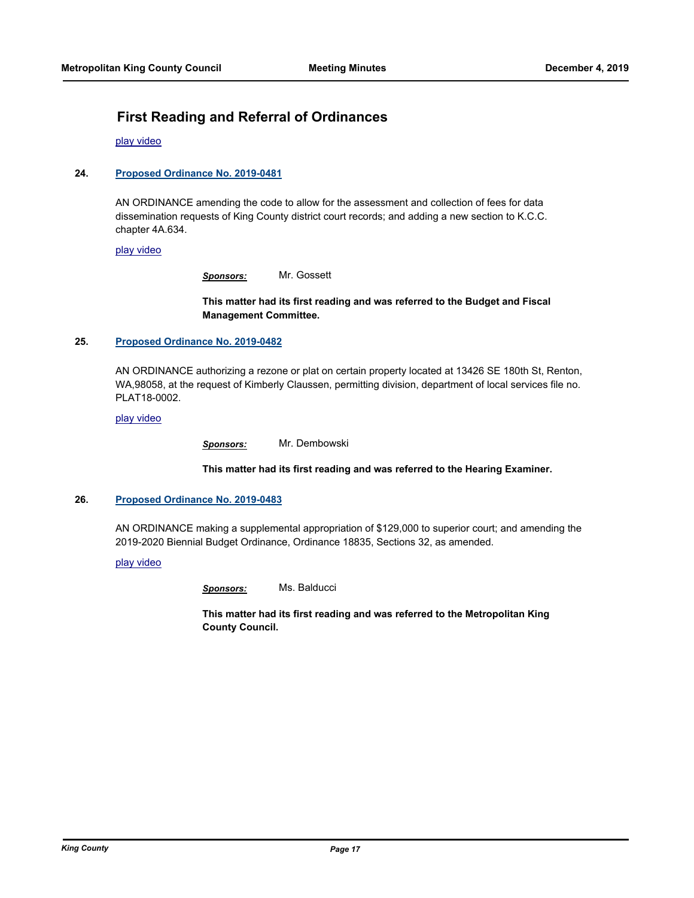# **First Reading and Referral of Ordinances**

[play video](http://mkcclegisearch.kingcounty.gov/medialinkgenerator/index.aspx?meid=7823&hsid=502128)

#### **24. [Proposed Ordinance No. 2019-0481](http://kingcounty.legistar.com/gateway.aspx?m=l&id=/matter.aspx?key=20785)**

AN ORDINANCE amending the code to allow for the assessment and collection of fees for data dissemination requests of King County district court records; and adding a new section to K.C.C. chapter 4A.634.

[play video](http://mkcclegisearch.kingcounty.gov/medialinkgenerator/index.aspx?meid=7823&hsid=502129)

*Sponsors:* Mr. Gossett

**This matter had its first reading and was referred to the Budget and Fiscal Management Committee.**

#### **25. [Proposed Ordinance No. 2019-0482](http://kingcounty.legistar.com/gateway.aspx?m=l&id=/matter.aspx?key=20788)**

AN ORDINANCE authorizing a rezone or plat on certain property located at 13426 SE 180th St, Renton, WA,98058, at the request of Kimberly Claussen, permitting division, department of local services file no. PLAT18-0002.

#### [play video](http://mkcclegisearch.kingcounty.gov/medialinkgenerator/index.aspx?meid=7823&hsid=502132)

*Sponsors:* Mr. Dembowski

**This matter had its first reading and was referred to the Hearing Examiner.**

#### **26. [Proposed Ordinance No. 2019-0483](http://kingcounty.legistar.com/gateway.aspx?m=l&id=/matter.aspx?key=20790)**

AN ORDINANCE making a supplemental appropriation of \$129,000 to superior court; and amending the 2019-2020 Biennial Budget Ordinance, Ordinance 18835, Sections 32, as amended.

#### [play video](http://mkcclegisearch.kingcounty.gov/medialinkgenerator/index.aspx?meid=7823&hsid=502136)

*Sponsors:* Ms. Balducci

**This matter had its first reading and was referred to the Metropolitan King County Council.**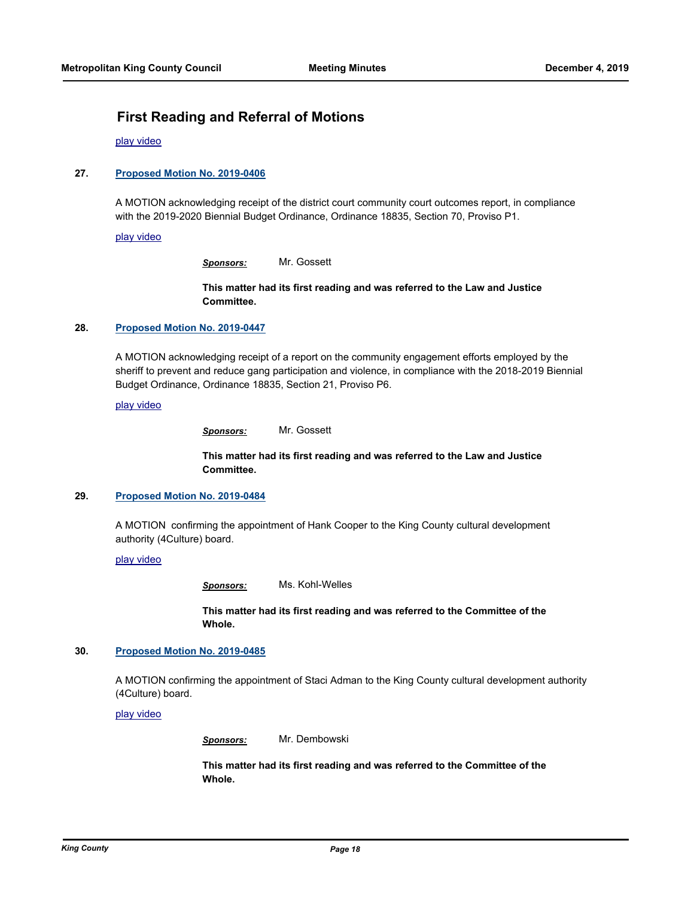# **First Reading and Referral of Motions**

[play video](http://mkcclegisearch.kingcounty.gov/medialinkgenerator/index.aspx?meid=7823&hsid=502142)

#### **27. [Proposed Motion No. 2019-0406](http://kingcounty.legistar.com/gateway.aspx?m=l&id=/matter.aspx?key=20648)**

A MOTION acknowledging receipt of the district court community court outcomes report, in compliance with the 2019-2020 Biennial Budget Ordinance, Ordinance 18835, Section 70, Proviso P1.

#### [play video](http://mkcclegisearch.kingcounty.gov/medialinkgenerator/index.aspx?meid=7823&hsid=502143)

*Sponsors:* Mr. Gossett

**This matter had its first reading and was referred to the Law and Justice Committee.**

#### **28. [Proposed Motion No. 2019-0447](http://kingcounty.legistar.com/gateway.aspx?m=l&id=/matter.aspx?key=20714)**

A MOTION acknowledging receipt of a report on the community engagement efforts employed by the sheriff to prevent and reduce gang participation and violence, in compliance with the 2018-2019 Biennial Budget Ordinance, Ordinance 18835, Section 21, Proviso P6.

[play video](http://mkcclegisearch.kingcounty.gov/medialinkgenerator/index.aspx?meid=7823&hsid=502147)

**This matter had its first reading and was referred to the Law and Justice Committee.**

#### **29. [Proposed Motion No. 2019-0484](http://kingcounty.legistar.com/gateway.aspx?m=l&id=/matter.aspx?key=20793)**

A MOTION confirming the appointment of Hank Cooper to the King County cultural development authority (4Culture) board.

#### [play video](http://mkcclegisearch.kingcounty.gov/medialinkgenerator/index.aspx?meid=7823&hsid=502151)

*Sponsors:* Ms. Kohl-Welles

**This matter had its first reading and was referred to the Committee of the Whole.**

#### **30. [Proposed Motion No. 2019-0485](http://kingcounty.legistar.com/gateway.aspx?m=l&id=/matter.aspx?key=20794)**

A MOTION confirming the appointment of Staci Adman to the King County cultural development authority (4Culture) board.

[play video](http://mkcclegisearch.kingcounty.gov/medialinkgenerator/index.aspx?meid=7823&hsid=502153)

*Sponsors:* Mr. Dembowski

**This matter had its first reading and was referred to the Committee of the Whole.**

*Sponsors:* Mr. Gossett